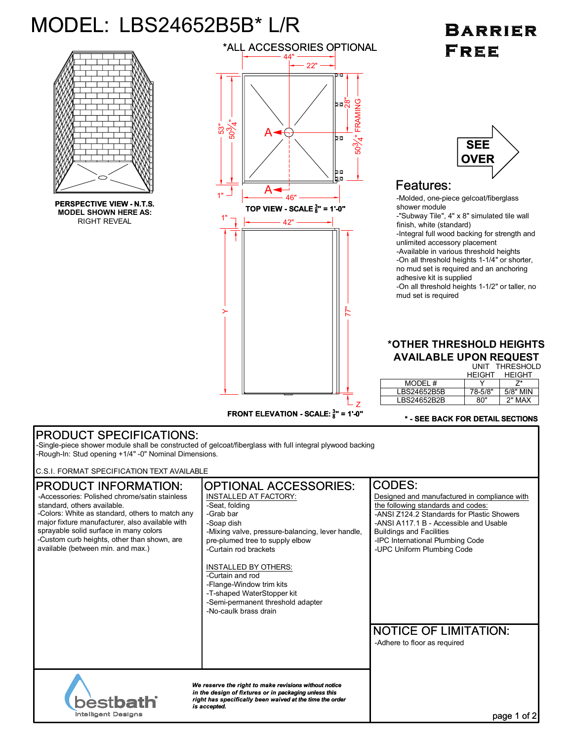# MODEL: LBS24652B5B\* L/R

**PERSPECTIVE VIEW - N.T.S. MODEL SHOWN HERE AS:** RIGHT REVEAL



## BARRIER **FREE**



### Features:

-Molded, one-piece gelcoat/fiberglass shower module -"Subway Tile", 4" x 8" simulated tile wall finish, white (standard) -Integral full wood backing for strength and unlimited accessory placement -Available in various threshold heights -On all threshold heights 1-1/4" or shorter, no mud set is required and an anchoring adhesive kit is supplied -On all threshold heights 1-1/2" or taller, no mud set is required

#### UNIT THRESHOLD **\*OTHER THRESHOLD HEIGHTS AVAILABLE UPON REQUEST**

|             | .             |               |
|-------------|---------------|---------------|
|             | <b>HEIGHT</b> | <b>HEIGHT</b> |
| MODEL #     |               |               |
| LBS24652B5B | 78-5/8"       | 5/8" MIN      |
| LBS24652B2B | ጸበ"           | 2" MAX        |

#### **\* - SEE BACK FOR DETAIL SECTIONS**

#### PRODUCT SPECIFICATIONS: -Single-piece shower module shall be constructed of gelcoat/fiberglass with full integral plywood backing -Rough-In: Stud opening +1/4" -0" Nominal Dimensions. C.S.I. FORMAT SPECIFICATION TEXT AVAILABLE OPTIONAL ACCESSORIES: CODES: PRODUCT INFORMATION: -Accessories: Polished chrome/satin stainless INSTALLED AT FACTORY: Designed and manufactured in compliance with standard, others available. the following standards and codes: -Seat, folding -Colors: White as standard, others to match any -Grab bar -ANSI Z124.2 Standards for Plastic Showers major fixture manufacturer, also available with -ANSI A117.1 B - Accessible and Usable -Soap dish sprayable solid surface in many colors -Mixing valve, pressure-balancing, lever handle, Buildings and Facilities -Custom curb heights, other than shown, are pre-plumed tree to supply elbow -IPC International Plumbing Code available (between min. and max.) -Curtain rod brackets -UPC Uniform Plumbing Code INSTALLED BY OTHERS: -Curtain and rod -Flange-Window trim kits -T-shaped WaterStopper kit -Semi-permanent threshold adapter -No-caulk brass drain NOTICE OF LIMITATION: -Adhere to floor as required *We reserve the right to make revisions without notice in the design of fixtures or in packaging unless this right has specifically been waived at the time the order* bestba *is accepted.* **Intelligent Designs** page 1 of 2